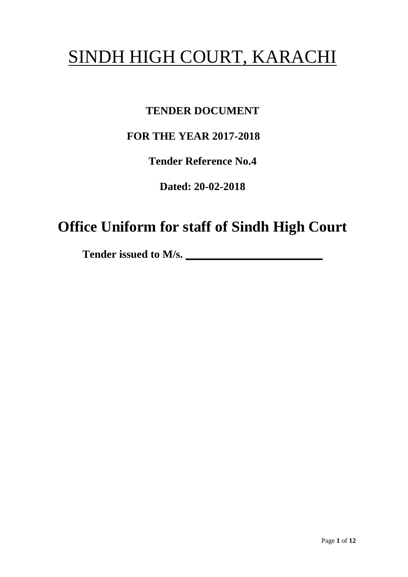# SINDH HIGH COURT, KARACHI

## **TENDER DOCUMENT**

## **FOR THE YEAR 2017-2018**

**Tender Reference No.4**

**Dated: 20-02-2018**

## **Office Uniform for staff of Sindh High Court**

Tender issued to M/s.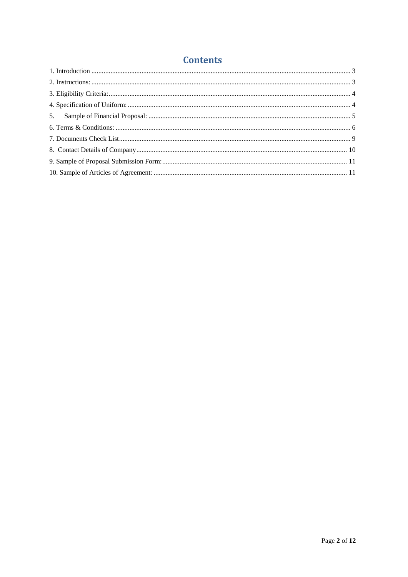### **Contents**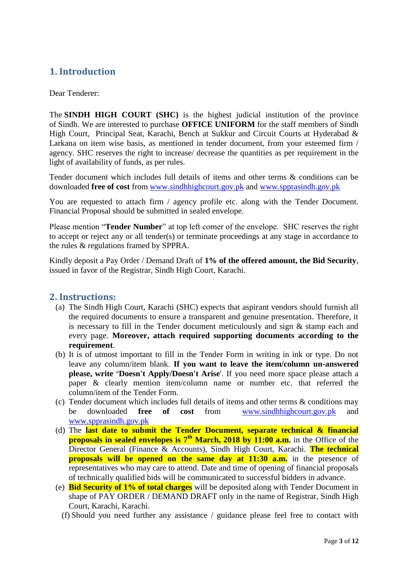### <span id="page-2-0"></span>**1. Introduction**

#### Dear Tenderer:

The **SINDH HIGH COURT (SHC)** is the highest judicial institution of the province of [Sindh.](https://en.wikipedia.org/wiki/Sindh) We are interested to purchase **OFFICE UNIFORM** for the staff members of Sindh High Court, Principal Seat, Karachi, Bench at Sukkur and Circuit Courts at Hyderabad & Larkana on item wise basis, as mentioned in tender document, from your esteemed firm / agency. SHC reserves the right to increase/ decrease the quantities as per requirement in the light of availability of funds, as per rules.

Tender document which includes full details of items and other terms & conditions can be downloaded **free of cost** from [www.sindhhighcourt.gov.pk](http://www.sindhhighcourt.gov.pk/) and [www.spprasindh.gov.pk](http://www.spprasindh.gov.pk/)

You are requested to attach firm / agency profile etc. along with the Tender Document. Financial Proposal should be submitted in sealed envelope.

Please mention "**Tender Number**" at top left corner of the envelope. SHC reserves the right to accept or reject any or all tender(s) or terminate proceedings at any stage in accordance to the rules & regulations framed by SPPRA.

Kindly deposit a Pay Order / Demand Draft of **1% of the offered amount, the Bid Security**, issued in favor of the Registrar, Sindh High Court, Karachi.

#### <span id="page-2-1"></span>**2. Instructions:**

- (a) The Sindh High Court, Karachi (SHC) expects that aspirant vendors should furnish all the required documents to ensure a transparent and genuine presentation. Therefore, it is necessary to fill in the Tender document meticulously and sign & stamp each and every page. **Moreover, attach required supporting documents according to the requirement**.
- (b) It is of utmost important to fill in the Tender Form in writing in ink or type. Do not leave any column/item blank. **If you want to leave the item/column un-answered please, write "Doesn't Apply/Doesn't Arise**'. If you need more space please attach a paper & clearly mention item/column name or number etc. that referred the column/item of the Tender Form.
- (c) Tender document which includes full details of items and other terms & conditions may be downloaded **free of cost** from [www.sindhhighcourt.gov.pk](http://www.sindhhighcourt.gov.pk/) and [www.spprasindh.gov.pk](http://www.spprasindh.gov.pk/)
- (d) The **last date to submit the Tender Document, separate technical & financial proposals in sealed envelopes is 7 th March, 2018 by 11:00 a.m.** in the Office of the Director General (Finance & Accounts), Sindh High Court, Karachi. **The technical proposals will be opened on the same day at 11:30 a.m.** in the presence of representatives who may care to attend. Date and time of opening of financial proposals of technically qualified bids will be communicated to successful bidders in advance.
- (e) **Bid Security of 1% of total charges** will be deposited along with Tender Document in shape of PAY ORDER / DEMAND DRAFT only in the name of Registrar, Sindh High Court, Karachi, Karachi.
	- (f) Should you need further any assistance / guidance please feel free to contact with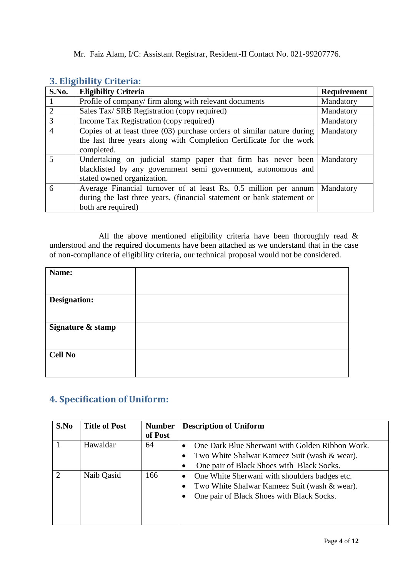<span id="page-3-0"></span>

|  | 3. Eligibility Criteria: |  |
|--|--------------------------|--|

| S.No.                   | <b>Eligibility Criteria</b>                                                                                                                                      | <b>Requirement</b> |
|-------------------------|------------------------------------------------------------------------------------------------------------------------------------------------------------------|--------------------|
|                         | Profile of company/firm along with relevant documents                                                                                                            | Mandatory          |
| 2                       | Sales Tax/ SRB Registration (copy required)                                                                                                                      | Mandatory          |
| 3                       | Income Tax Registration (copy required)                                                                                                                          | Mandatory          |
| $\overline{4}$          | Copies of at least three (03) purchase orders of similar nature during<br>the last three years along with Completion Certificate for the work<br>completed.      | Mandatory          |
| $\overline{\mathbf{S}}$ | Undertaking on judicial stamp paper that firm has never been<br>blacklisted by any government semi government, autonomous and<br>stated owned organization.      | Mandatory          |
| 6                       | Average Financial turnover of at least Rs. 0.5 million per annum<br>during the last three years. (financial statement or bank statement or<br>both are required) | Mandatory          |

All the above mentioned eligibility criteria have been thoroughly read  $\&$ understood and the required documents have been attached as we understand that in the case of non-compliance of eligibility criteria, our technical proposal would not be considered.

| Name:               |  |
|---------------------|--|
|                     |  |
| <b>Designation:</b> |  |
|                     |  |
| Signature & stamp   |  |
|                     |  |
| <b>Cell No</b>      |  |
|                     |  |

#### <span id="page-3-1"></span>**4. Specification of Uniform:**

| S.No | <b>Title of Post</b> | <b>Number</b> | <b>Description of Uniform</b>                      |
|------|----------------------|---------------|----------------------------------------------------|
|      |                      | of Post       |                                                    |
|      | Hawaldar             | 64            | One Dark Blue Sherwani with Golden Ribbon Work.    |
|      |                      |               | Two White Shalwar Kameez Suit (wash & wear).       |
|      |                      |               | One pair of Black Shoes with Black Socks.          |
| 2    | Naib Qasid           | 166           | One White Sherwani with shoulders badges etc.<br>٠ |
|      |                      |               | Two White Shalwar Kameez Suit (wash & wear).       |
|      |                      |               | One pair of Black Shoes with Black Socks.<br>٠     |
|      |                      |               |                                                    |
|      |                      |               |                                                    |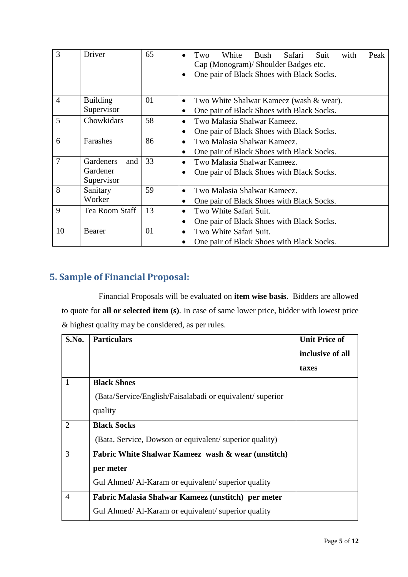| 3              | Driver           | 65 | Peak<br>White<br>Bush<br>Safari<br>Suit<br>with<br>Two<br>$\bullet$<br>Cap (Monogram)/ Shoulder Badges etc.<br>One pair of Black Shoes with Black Socks. |  |
|----------------|------------------|----|----------------------------------------------------------------------------------------------------------------------------------------------------------|--|
| $\overline{4}$ | <b>Building</b>  | 01 | Two White Shalwar Kameez (wash & wear).<br>$\bullet$                                                                                                     |  |
|                | Supervisor       |    | One pair of Black Shoes with Black Socks.<br>$\bullet$                                                                                                   |  |
| 5              | Chowkidars       | 58 | Two Malasia Shalwar Kameez.<br>$\bullet$                                                                                                                 |  |
|                |                  |    | One pair of Black Shoes with Black Socks.<br>$\bullet$                                                                                                   |  |
| 6              | Farashes         | 86 | Two Malasia Shalwar Kameez.<br>$\bullet$                                                                                                                 |  |
|                |                  |    | One pair of Black Shoes with Black Socks.<br>$\bullet$                                                                                                   |  |
| 7              | Gardeners<br>and | 33 | Two Malasia Shalwar Kameez.<br>$\bullet$                                                                                                                 |  |
|                | Gardener         |    | One pair of Black Shoes with Black Socks.<br>$\bullet$                                                                                                   |  |
|                | Supervisor       |    |                                                                                                                                                          |  |
| 8              | Sanitary         | 59 | Two Malasia Shalwar Kameez.<br>$\bullet$                                                                                                                 |  |
|                | Worker           |    | One pair of Black Shoes with Black Socks.                                                                                                                |  |
| 9              | Tea Room Staff   | 13 | Two White Safari Suit.<br>$\bullet$                                                                                                                      |  |
|                |                  |    | One pair of Black Shoes with Black Socks.                                                                                                                |  |
| 10             | Bearer           | 01 | Two White Safari Suit.<br>$\bullet$                                                                                                                      |  |
|                |                  |    | One pair of Black Shoes with Black Socks.                                                                                                                |  |

## <span id="page-4-0"></span>**5. Sample of Financial Proposal:**

Financial Proposals will be evaluated on **item wise basis**. Bidders are allowed to quote for **all or selected item (s)**. In case of same lower price, bidder with lowest price & highest quality may be considered, as per rules.

| S.No.          | <b>Particulars</b>                                        | <b>Unit Price of</b> |
|----------------|-----------------------------------------------------------|----------------------|
|                |                                                           | inclusive of all     |
|                |                                                           | taxes                |
| $\mathbf{1}$   | <b>Black Shoes</b>                                        |                      |
|                | (Bata/Service/English/Faisalabadi or equivalent/ superior |                      |
|                | quality                                                   |                      |
| $\overline{2}$ | <b>Black Socks</b>                                        |                      |
|                | (Bata, Service, Dowson or equivalent/superior quality)    |                      |
| 3              | Fabric White Shalwar Kameez wash & wear (unstitch)        |                      |
|                | per meter                                                 |                      |
|                | Gul Ahmed/Al-Karam or equivalent/superior quality         |                      |
| $\overline{4}$ | Fabric Malasia Shalwar Kameez (unstitch) per meter        |                      |
|                | Gul Ahmed/Al-Karam or equivalent/superior quality         |                      |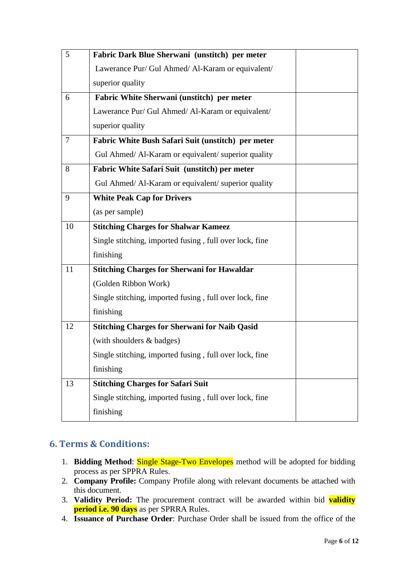| 5  | Fabric Dark Blue Sherwani (unstitch) per meter          |  |
|----|---------------------------------------------------------|--|
|    | Lawerance Pur/ Gul Ahmed/ Al-Karam or equivalent/       |  |
|    | superior quality                                        |  |
| 6  | Fabric White Sherwani (unstitch) per meter              |  |
|    | Lawerance Pur/ Gul Ahmed/ Al-Karam or equivalent/       |  |
|    | superior quality                                        |  |
| 7  | Fabric White Bush Safari Suit (unstitch) per meter      |  |
|    | Gul Ahmed/Al-Karam or equivalent/ superior quality      |  |
| 8  | Fabric White Safari Suit (unstitch) per meter           |  |
|    | Gul Ahmed/Al-Karam or equivalent/ superior quality      |  |
| 9  | <b>White Peak Cap for Drivers</b>                       |  |
|    | (as per sample)                                         |  |
| 10 | <b>Stitching Charges for Shalwar Kameez</b>             |  |
|    | Single stitching, imported fusing, full over lock, fine |  |
|    | finishing                                               |  |
| 11 | <b>Stitching Charges for Sherwani for Hawaldar</b>      |  |
|    | (Golden Ribbon Work)                                    |  |
|    | Single stitching, imported fusing, full over lock, fine |  |
|    | finishing                                               |  |
| 12 | <b>Stitching Charges for Sherwani for Naib Qasid</b>    |  |
|    | (with shoulders & badges)                               |  |
|    | Single stitching, imported fusing, full over lock, fine |  |
|    | finishing                                               |  |
| 13 | <b>Stitching Charges for Safari Suit</b>                |  |
|    | Single stitching, imported fusing, full over lock, fine |  |
|    | finishing                                               |  |

### <span id="page-5-0"></span>**6. Terms & Conditions:**

- 1. **Bidding Method**: Single Stage-Two Envelopes method will be adopted for bidding process as per SPPRA Rules.
- 2. **Company Profile:** Company Profile along with relevant documents be attached with this document.
- 3. **Validity Period:** The procurement contract will be awarded within bid **validity period i.e. 90 days** as per SPRRA Rules.
- 4. **Issuance of Purchase Order**: Purchase Order shall be issued from the office of the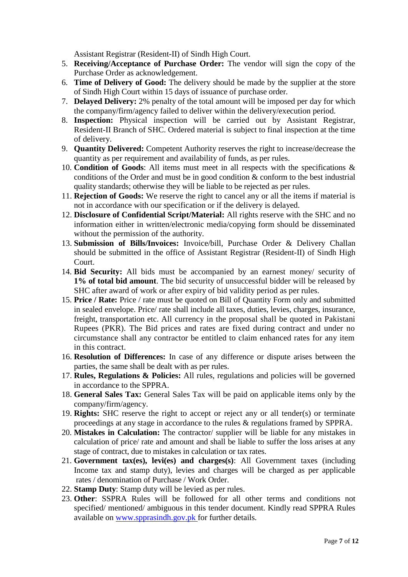Assistant Registrar (Resident-II) of Sindh High Court.

- 5. **Receiving/Acceptance of Purchase Order:** The vendor will sign the copy of the Purchase Order as acknowledgement.
- 6. **Time of Delivery of Good:** The delivery should be made by the supplier at the store of Sindh High Court within 15 days of issuance of purchase order.
- 7. **Delayed Delivery:** 2% penalty of the total amount will be imposed per day for which the company/firm/agency failed to deliver within the delivery/execution period.
- 8. **Inspection:** Physical inspection will be carried out by Assistant Registrar, Resident-II Branch of SHC. Ordered material is subject to final inspection at the time of delivery.
- 9. **Quantity Delivered:** Competent Authority reserves the right to increase/decrease the quantity as per requirement and availability of funds, as per rules.
- 10. **Condition of Goods**: All items must meet in all respects with the specifications & conditions of the Order and must be in good condition & conform to the best industrial quality standards; otherwise they will be liable to be rejected as per rules.
- 11. **Rejection of Goods:** We reserve the right to cancel any or all the items if material is not in accordance with our specification or if the delivery is delayed.
- 12. **Disclosure of Confidential Script/Material:** All rights reserve with the SHC and no information either in written/electronic media/copying form should be disseminated without the permission of the authority.
- 13. **Submission of Bills/Invoices:** Invoice/bill, Purchase Order & Delivery Challan should be submitted in the office of Assistant Registrar (Resident-II) of Sindh High Court.
- 14. **Bid Security:** All bids must be accompanied by an earnest money/ security of **1% of total bid amount**. The bid security of unsuccessful bidder will be released by SHC after award of work or after expiry of bid validity period as per rules.
- 15. **Price / Rate:** Price / rate must be quoted on Bill of Quantity Form only and submitted in sealed envelope. Price/ rate shall include all taxes, duties, levies, charges, insurance, freight, transportation etc. All currency in the proposal shall be quoted in Pakistani Rupees (PKR). The Bid prices and rates are fixed during contract and under no circumstance shall any contractor be entitled to claim enhanced rates for any item in this contract.
- 16. **Resolution of Differences:** In case of any difference or dispute arises between the parties, the same shall be dealt with as per rules.
- 17. **Rules, Regulations & Policies:** All rules, regulations and policies will be governed in accordance to the SPPRA.
- 18. **General Sales Tax:** General Sales Tax will be paid on applicable items only by the company/firm/agency.
- 19. **Rights:** SHC reserve the right to accept or reject any or all tender(s) or terminate proceedings at any stage in accordance to the rules & regulations framed by SPPRA.
- 20. **Mistakes in Calculation:** The contractor/ supplier will be liable for any mistakes in calculation of price/ rate and amount and shall be liable to suffer the loss arises at any stage of contract, due to mistakes in calculation or tax rates.
- 21. **Government tax(es), levi(es) and charges(s)**: All Government taxes (including Income tax and stamp duty), levies and charges will be charged as per applicable rates / denomination of Purchase / Work Order.
- 22. **Stamp Duty**: Stamp duty will be levied as per rules.
- 23. **Other**: SSPRA Rules will be followed for all other terms and conditions not specified/ mentioned/ ambiguous in this tender document. Kindly read SPPRA Rules available on [www.spprasindh.gov.pk](http://www.spprasindh.gov.pk/) for further details.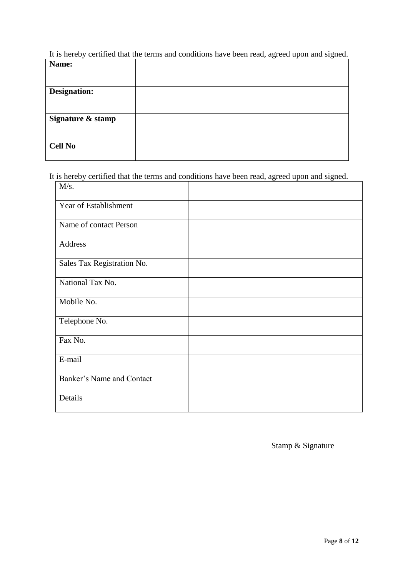It is hereby certified that the terms and conditions have been read, agreed upon and signed.

| Name:               |  |
|---------------------|--|
|                     |  |
|                     |  |
| <b>Designation:</b> |  |
|                     |  |
|                     |  |
| Signature & stamp   |  |
|                     |  |
|                     |  |
| <b>Cell No</b>      |  |
|                     |  |

It is hereby certified that the terms and conditions have been read, agreed upon and signed.

| M/s.                       |  |
|----------------------------|--|
| Year of Establishment      |  |
| Name of contact Person     |  |
| Address                    |  |
| Sales Tax Registration No. |  |
| National Tax No.           |  |
| Mobile No.                 |  |
| Telephone No.              |  |
| Fax No.                    |  |
| E-mail                     |  |
| Banker's Name and Contact  |  |
| Details                    |  |

Stamp & Signature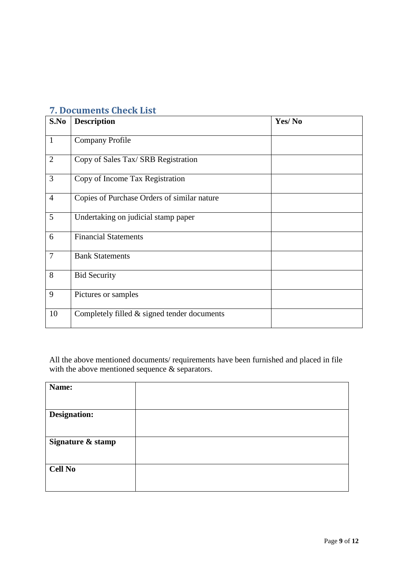| S.No           | <b>Description</b>                            | Yes/No |
|----------------|-----------------------------------------------|--------|
|                |                                               |        |
| $\mathbf{1}$   | <b>Company Profile</b>                        |        |
| $\overline{2}$ | Copy of Sales Tax/ SRB Registration           |        |
| $\overline{3}$ | Copy of Income Tax Registration               |        |
| $\overline{4}$ | Copies of Purchase Orders of similar nature   |        |
| 5              | Undertaking on judicial stamp paper           |        |
| 6              | <b>Financial Statements</b>                   |        |
| $\overline{7}$ | <b>Bank Statements</b>                        |        |
| 8              | <b>Bid Security</b>                           |        |
| 9              | Pictures or samples                           |        |
| 10             | Completely filled $&$ signed tender documents |        |

### <span id="page-8-0"></span>**7. Documents Check List**

All the above mentioned documents/ requirements have been furnished and placed in file with the above mentioned sequence  $\&$  separators.

| Name:               |  |
|---------------------|--|
|                     |  |
| <b>Designation:</b> |  |
|                     |  |
| Signature & stamp   |  |
|                     |  |
| <b>Cell No</b>      |  |
|                     |  |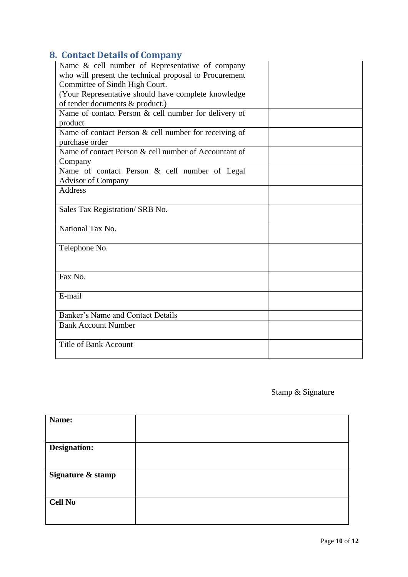## <span id="page-9-0"></span>**8. Contact Details of Company**

| Name & cell number of Representative of company        |  |
|--------------------------------------------------------|--|
| who will present the technical proposal to Procurement |  |
| Committee of Sindh High Court.                         |  |
| (Your Representative should have complete knowledge    |  |
| of tender documents & product.)                        |  |
| Name of contact Person & cell number for delivery of   |  |
| product                                                |  |
| Name of contact Person & cell number for receiving of  |  |
| purchase order                                         |  |
| Name of contact Person & cell number of Accountant of  |  |
| Company                                                |  |
| Name of contact Person & cell number of Legal          |  |
| <b>Advisor of Company</b>                              |  |
| <b>Address</b>                                         |  |
|                                                        |  |
| Sales Tax Registration/ SRB No.                        |  |
|                                                        |  |
| National Tax No.                                       |  |
|                                                        |  |
| Telephone No.                                          |  |
|                                                        |  |
|                                                        |  |
| Fax No.                                                |  |
| E-mail                                                 |  |
|                                                        |  |
| Banker's Name and Contact Details                      |  |
| <b>Bank Account Number</b>                             |  |
|                                                        |  |
| <b>Title of Bank Account</b>                           |  |
|                                                        |  |
|                                                        |  |

### Stamp & Signature

| Name:               |  |
|---------------------|--|
|                     |  |
| <b>Designation:</b> |  |
|                     |  |
| Signature & stamp   |  |
|                     |  |
| <b>Cell No</b>      |  |
|                     |  |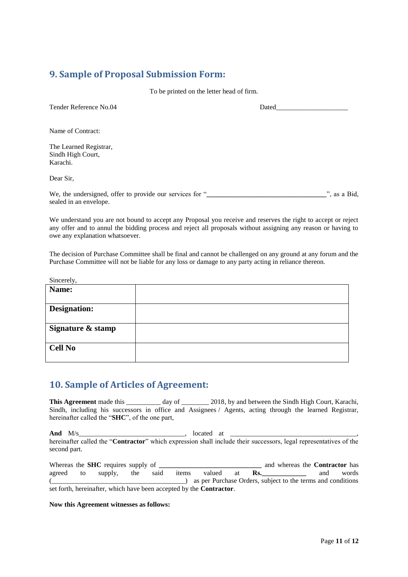#### <span id="page-10-0"></span>**9. Sample of Proposal Submission Form:**

To be printed on the letter head of firm.

| Tender Reference No.04                                                             | Dated |                    |
|------------------------------------------------------------------------------------|-------|--------------------|
| Name of Contract:                                                                  |       |                    |
| The Learned Registrar,<br>Sindh High Court,<br>Karachi.                            |       |                    |
| Dear Sir.                                                                          |       |                    |
| We, the undersigned, offer to provide our services for "<br>sealed in an envelope. |       | $\cdots$ as a Bid, |

We understand you are not bound to accept any Proposal you receive and reserves the right to accept or reject any offer and to annul the bidding process and reject all proposals without assigning any reason or having to owe any explanation whatsoever.

The decision of Purchase Committee shall be final and cannot be challenged on any ground at any forum and the Purchase Committee will not be liable for any loss or damage to any party acting in reliance thereon.

Sincerely,

| Name:               |  |
|---------------------|--|
|                     |  |
| <b>Designation:</b> |  |
|                     |  |
| Signature & stamp   |  |
| <b>Cell No</b>      |  |

#### <span id="page-10-1"></span>**10. Sample of Articles of Agreement:**

**This Agreement** made this \_\_\_\_\_\_\_\_\_ day of \_\_\_\_\_\_\_ 2018, by and between the Sindh High Court, Karachi, Sindh, including his successors in office and Assignees / Agents, acting through the learned Registrar, hereinafter called the "**SHC**", of the one part,

**And** M/s\_\_\_\_\_\_\_\_\_\_\_\_\_\_\_\_\_\_\_\_\_\_\_\_\_\_\_\_\_\_\_, located at \_\_\_\_\_\_\_\_\_\_\_\_\_\_\_\_\_\_\_\_\_\_\_\_\_\_\_\_\_\_\_\_\_\_\_\_\_, hereinafter called the "**Contractor**" which expression shall include their successors, legal representatives of the second part.

Whereas the **SHC** requires supply of **the analyzing and supply and whereas the Contractor** has agreed to supply, the said items valued at **Rs.\_\_\_\_\_\_\_\_\_\_\_\_\_** and words (\_\_\_\_\_\_\_\_\_\_\_\_\_\_\_\_\_\_\_\_\_\_\_\_\_\_\_\_\_\_\_\_\_\_\_\_\_\_\_) as per Purchase Orders, subject to the terms and conditions set forth, hereinafter, which have been accepted by the **Contractor**.

#### **Now this Agreement witnesses as follows:**